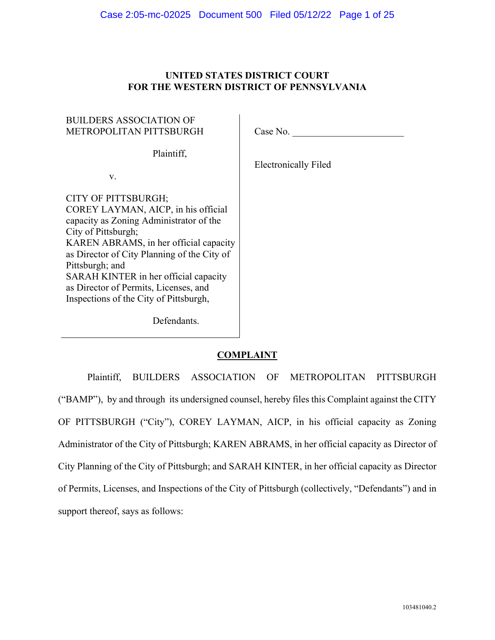# **UNITED STATES DISTRICT COURT FOR THE WESTERN DISTRICT OF PENNSYLVANIA**

# BUILDERS ASSOCIATION OF METROPOLITAN PITTSBURGH

v.

Case No.

Plaintiff,

Electronically Filed

CITY OF PITTSBURGH; COREY LAYMAN, AICP, in his official capacity as Zoning Administrator of the City of Pittsburgh; KAREN ABRAMS, in her official capacity as Director of City Planning of the City of Pittsburgh; and SARAH KINTER in her official capacity as Director of Permits, Licenses, and Inspections of the City of Pittsburgh,

Defendants.

# **COMPLAINT**

Plaintiff, BUILDERS ASSOCIATION OF METROPOLITAN PITTSBURGH ("BAMP"), by and through its undersigned counsel, hereby files this Complaint against the CITY OF PITTSBURGH ("City"), COREY LAYMAN, AICP, in his official capacity as Zoning Administrator of the City of Pittsburgh; KAREN ABRAMS, in her official capacity as Director of City Planning of the City of Pittsburgh; and SARAH KINTER, in her official capacity as Director of Permits, Licenses, and Inspections of the City of Pittsburgh (collectively, "Defendants") and in support thereof, says as follows: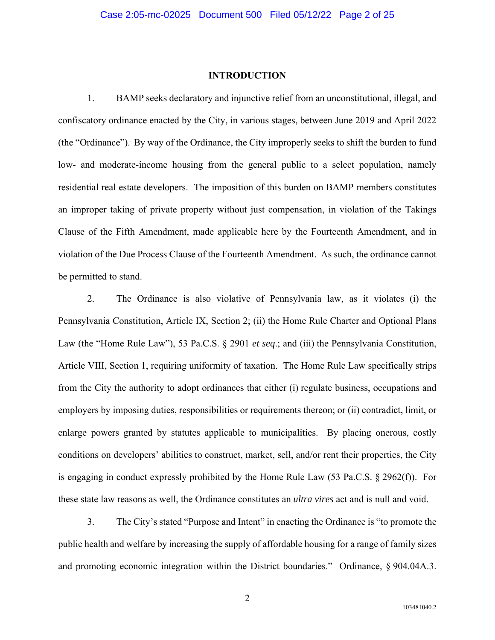#### **INTRODUCTION**

1. BAMP seeks declaratory and injunctive relief from an unconstitutional, illegal, and confiscatory ordinance enacted by the City, in various stages, between June 2019 and April 2022 (the "Ordinance"). By way of the Ordinance, the City improperly seeks to shift the burden to fund low- and moderate-income housing from the general public to a select population, namely residential real estate developers. The imposition of this burden on BAMP members constitutes an improper taking of private property without just compensation, in violation of the Takings Clause of the Fifth Amendment, made applicable here by the Fourteenth Amendment, and in violation of the Due Process Clause of the Fourteenth Amendment. As such, the ordinance cannot be permitted to stand.

2. The Ordinance is also violative of Pennsylvania law, as it violates (i) the Pennsylvania Constitution, Article IX, Section 2; (ii) the Home Rule Charter and Optional Plans Law (the "Home Rule Law"), 53 Pa.C.S. § 2901 *et seq*.; and (iii) the Pennsylvania Constitution, Article VIII, Section 1, requiring uniformity of taxation. The Home Rule Law specifically strips from the City the authority to adopt ordinances that either (i) regulate business, occupations and employers by imposing duties, responsibilities or requirements thereon; or (ii) contradict, limit, or enlarge powers granted by statutes applicable to municipalities. By placing onerous, costly conditions on developers' abilities to construct, market, sell, and/or rent their properties, the City is engaging in conduct expressly prohibited by the Home Rule Law (53 Pa.C.S. § 2962(f)). For these state law reasons as well, the Ordinance constitutes an *ultra vires* act and is null and void.

3. The City's stated "Purpose and Intent" in enacting the Ordinance is "to promote the public health and welfare by increasing the supply of affordable housing for a range of family sizes and promoting economic integration within the District boundaries." Ordinance, § 904.04A.3.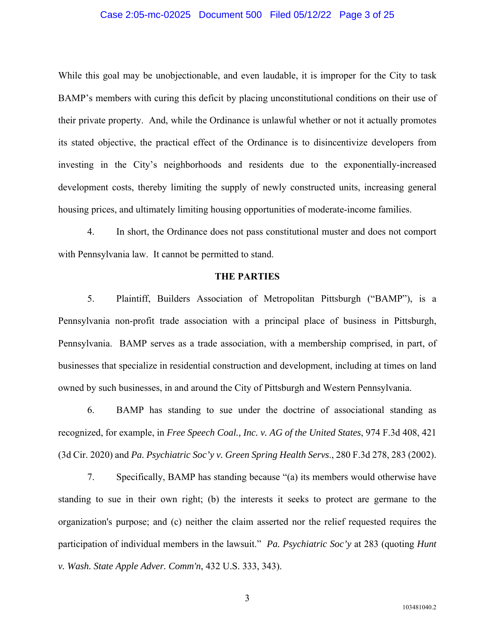## Case 2:05-mc-02025 Document 500 Filed 05/12/22 Page 3 of 25

While this goal may be unobjectionable, and even laudable, it is improper for the City to task BAMP's members with curing this deficit by placing unconstitutional conditions on their use of their private property. And, while the Ordinance is unlawful whether or not it actually promotes its stated objective, the practical effect of the Ordinance is to disincentivize developers from investing in the City's neighborhoods and residents due to the exponentially-increased development costs, thereby limiting the supply of newly constructed units, increasing general housing prices, and ultimately limiting housing opportunities of moderate-income families.

4. In short, the Ordinance does not pass constitutional muster and does not comport with Pennsylvania law. It cannot be permitted to stand.

#### **THE PARTIES**

5. Plaintiff, Builders Association of Metropolitan Pittsburgh ("BAMP"), is a Pennsylvania non-profit trade association with a principal place of business in Pittsburgh, Pennsylvania. BAMP serves as a trade association, with a membership comprised, in part, of businesses that specialize in residential construction and development, including at times on land owned by such businesses, in and around the City of Pittsburgh and Western Pennsylvania.

6. BAMP has standing to sue under the doctrine of associational standing as recognized, for example, in *Free Speech Coal., Inc. v. AG of the United States*, 974 F.3d 408, 421 (3d Cir. 2020) and *Pa. Psychiatric Soc'y v. Green Spring Health Servs*., 280 F.3d 278, 283 (2002).

7. Specifically, BAMP has standing because "(a) its members would otherwise have standing to sue in their own right; (b) the interests it seeks to protect are germane to the organization's purpose; and (c) neither the claim asserted nor the relief requested requires the participation of individual members in the lawsuit." *Pa. Psychiatric Soc'y* at 283 (quoting *Hunt v. Wash. State Apple Adver. Comm'n*, 432 U.S. 333, 343).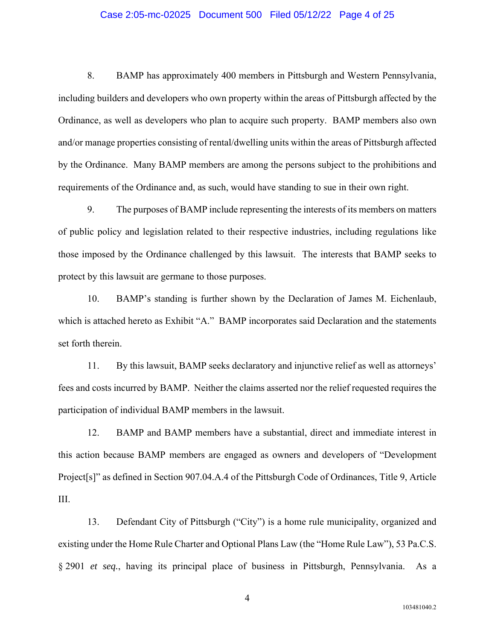## Case 2:05-mc-02025 Document 500 Filed 05/12/22 Page 4 of 25

8. BAMP has approximately 400 members in Pittsburgh and Western Pennsylvania, including builders and developers who own property within the areas of Pittsburgh affected by the Ordinance, as well as developers who plan to acquire such property. BAMP members also own and/or manage properties consisting of rental/dwelling units within the areas of Pittsburgh affected by the Ordinance. Many BAMP members are among the persons subject to the prohibitions and requirements of the Ordinance and, as such, would have standing to sue in their own right.

9. The purposes of BAMP include representing the interests of its members on matters of public policy and legislation related to their respective industries, including regulations like those imposed by the Ordinance challenged by this lawsuit. The interests that BAMP seeks to protect by this lawsuit are germane to those purposes.

10. BAMP's standing is further shown by the Declaration of James M. Eichenlaub, which is attached hereto as Exhibit "A." BAMP incorporates said Declaration and the statements set forth therein.

11. By this lawsuit, BAMP seeks declaratory and injunctive relief as well as attorneys' fees and costs incurred by BAMP. Neither the claims asserted nor the relief requested requires the participation of individual BAMP members in the lawsuit.

12. BAMP and BAMP members have a substantial, direct and immediate interest in this action because BAMP members are engaged as owners and developers of "Development Project[s]" as defined in Section 907.04.A.4 of the Pittsburgh Code of Ordinances, Title 9, Article III.

13. Defendant City of Pittsburgh ("City") is a home rule municipality, organized and existing under the Home Rule Charter and Optional Plans Law (the "Home Rule Law"), 53 Pa.C.S. § 2901 *et seq.*, having its principal place of business in Pittsburgh, Pennsylvania. As a

4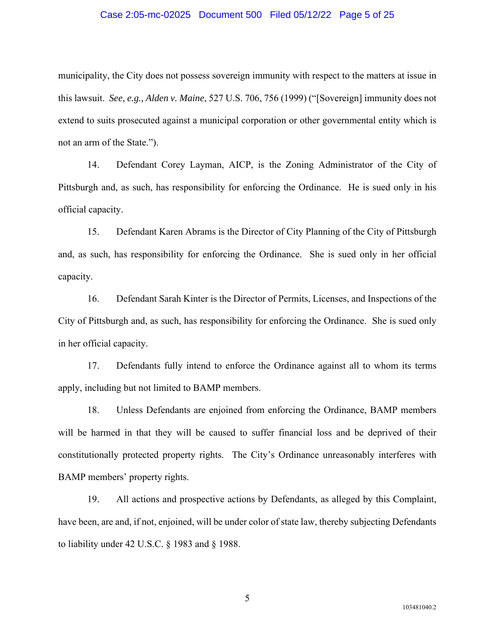## Case 2:05-mc-02025 Document 500 Filed 05/12/22 Page 5 of 25

municipality, the City does not possess sovereign immunity with respect to the matters at issue in this lawsuit. *See, e.g., Alden v. Maine*, 527 U.S. 706, 756 (1999) ("[Sovereign] immunity does not extend to suits prosecuted against a municipal corporation or other governmental entity which is not an arm of the State.").

14. Defendant Corey Layman, AICP, is the Zoning Administrator of the City of Pittsburgh and, as such, has responsibility for enforcing the Ordinance. He is sued only in his official capacity.

15. Defendant Karen Abrams is the Director of City Planning of the City of Pittsburgh and, as such, has responsibility for enforcing the Ordinance. She is sued only in her official capacity.

16. Defendant Sarah Kinter is the Director of Permits, Licenses, and Inspections of the City of Pittsburgh and, as such, has responsibility for enforcing the Ordinance. She is sued only in her official capacity.

17. Defendants fully intend to enforce the Ordinance against all to whom its terms apply, including but not limited to BAMP members.

18. Unless Defendants are enjoined from enforcing the Ordinance, BAMP members will be harmed in that they will be caused to suffer financial loss and be deprived of their constitutionally protected property rights. The City's Ordinance unreasonably interferes with BAMP members' property rights.

19. All actions and prospective actions by Defendants, as alleged by this Complaint, have been, are and, if not, enjoined, will be under color of state law, thereby subjecting Defendants to liability under 42 U.S.C. § 1983 and § 1988.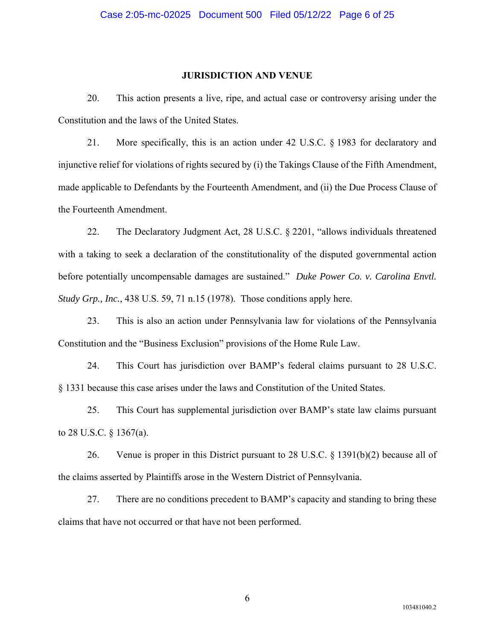## **JURISDICTION AND VENUE**

20. This action presents a live, ripe, and actual case or controversy arising under the Constitution and the laws of the United States.

21. More specifically, this is an action under 42 U.S.C. § 1983 for declaratory and injunctive relief for violations of rights secured by (i) the Takings Clause of the Fifth Amendment, made applicable to Defendants by the Fourteenth Amendment, and (ii) the Due Process Clause of the Fourteenth Amendment.

22. The Declaratory Judgment Act, 28 U.S.C. § 2201, "allows individuals threatened with a taking to seek a declaration of the constitutionality of the disputed governmental action before potentially uncompensable damages are sustained." *Duke Power Co. v. Carolina Envtl. Study Grp., Inc.*, 438 U.S. 59, 71 n.15 (1978). Those conditions apply here.

23. This is also an action under Pennsylvania law for violations of the Pennsylvania Constitution and the "Business Exclusion" provisions of the Home Rule Law.

24. This Court has jurisdiction over BAMP's federal claims pursuant to 28 U.S.C. § 1331 because this case arises under the laws and Constitution of the United States.

25. This Court has supplemental jurisdiction over BAMP's state law claims pursuant to 28 U.S.C. § 1367(a).

26. Venue is proper in this District pursuant to 28 U.S.C. § 1391(b)(2) because all of the claims asserted by Plaintiffs arose in the Western District of Pennsylvania.

27. There are no conditions precedent to BAMP's capacity and standing to bring these claims that have not occurred or that have not been performed.

6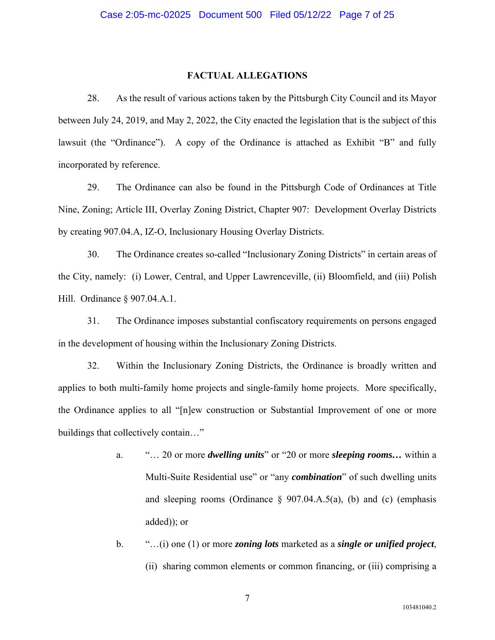## **FACTUAL ALLEGATIONS**

28. As the result of various actions taken by the Pittsburgh City Council and its Mayor between July 24, 2019, and May 2, 2022, the City enacted the legislation that is the subject of this lawsuit (the "Ordinance"). A copy of the Ordinance is attached as Exhibit "B" and fully incorporated by reference.

29. The Ordinance can also be found in the Pittsburgh Code of Ordinances at Title Nine, Zoning; Article III, Overlay Zoning District, Chapter 907: Development Overlay Districts by creating 907.04.A, IZ-O, Inclusionary Housing Overlay Districts.

30. The Ordinance creates so-called "Inclusionary Zoning Districts" in certain areas of the City, namely: (i) Lower, Central, and Upper Lawrenceville, (ii) Bloomfield, and (iii) Polish Hill. Ordinance § 907.04.A.1.

31. The Ordinance imposes substantial confiscatory requirements on persons engaged in the development of housing within the Inclusionary Zoning Districts.

32. Within the Inclusionary Zoning Districts, the Ordinance is broadly written and applies to both multi-family home projects and single-family home projects. More specifically, the Ordinance applies to all "[n]ew construction or Substantial Improvement of one or more buildings that collectively contain…"

- a. "… 20 or more *dwelling units*" or "20 or more *sleeping rooms…* within a Multi-Suite Residential use" or "any *combination*" of such dwelling units and sleeping rooms (Ordinance  $\S$  907.04.A.5(a), (b) and (c) (emphasis added)); or
- b. "…(i) one (1) or more *zoning lots* marketed as a *single or unified project*, (ii) sharing common elements or common financing, or (iii) comprising a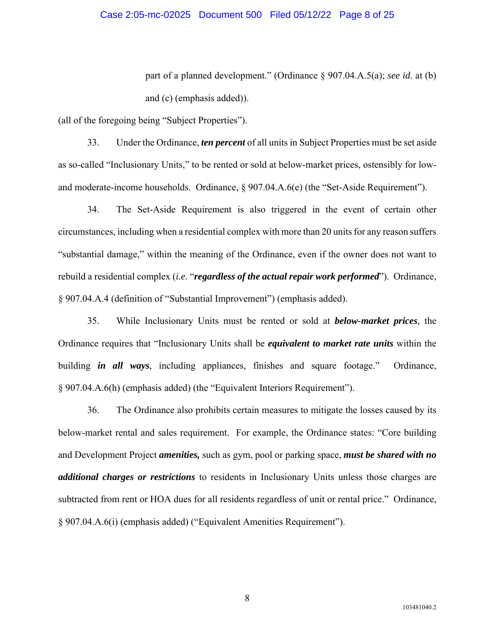part of a planned development." (Ordinance § 907.04.A.5(a); *see id.* at (b) and (c) (emphasis added)).

(all of the foregoing being "Subject Properties").

33. Under the Ordinance, *ten percent* of all units in Subject Properties must be set aside as so-called "Inclusionary Units," to be rented or sold at below-market prices, ostensibly for lowand moderate-income households. Ordinance, § 907.04.A.6(e) (the "Set-Aside Requirement").

34. The Set-Aside Requirement is also triggered in the event of certain other circumstances, including when a residential complex with more than 20 units for any reason suffers "substantial damage," within the meaning of the Ordinance, even if the owner does not want to rebuild a residential complex (*i.e*. "*regardless of the actual repair work performed*"). Ordinance, § 907.04.A.4 (definition of "Substantial Improvement") (emphasis added).

35. While Inclusionary Units must be rented or sold at *below-market prices*, the Ordinance requires that "Inclusionary Units shall be *equivalent to market rate units* within the building *in all ways*, including appliances, finishes and square footage." Ordinance, § 907.04.A.6(h) (emphasis added) (the "Equivalent Interiors Requirement").

36. The Ordinance also prohibits certain measures to mitigate the losses caused by its below-market rental and sales requirement. For example, the Ordinance states: "Core building and Development Project *amenities,* such as gym, pool or parking space, *must be shared with no additional charges or restrictions* to residents in Inclusionary Units unless those charges are subtracted from rent or HOA dues for all residents regardless of unit or rental price." Ordinance, § 907.04.A.6(i) (emphasis added) ("Equivalent Amenities Requirement").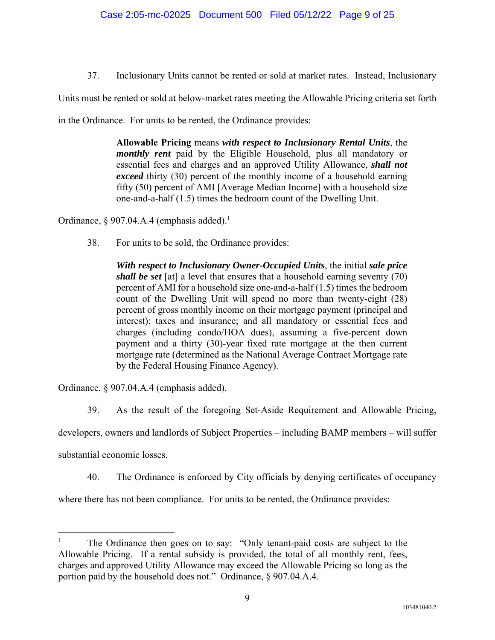37. Inclusionary Units cannot be rented or sold at market rates. Instead, Inclusionary

Units must be rented or sold at below-market rates meeting the Allowable Pricing criteria set forth

in the Ordinance. For units to be rented, the Ordinance provides:

**Allowable Pricing** means *with respect to Inclusionary Rental Units*, the *monthly rent* paid by the Eligible Household, plus all mandatory or essential fees and charges and an approved Utility Allowance, *shall not exceed* thirty (30) percent of the monthly income of a household earning fifty (50) percent of AMI [Average Median Income] with a household size one-and-a-half (1.5) times the bedroom count of the Dwelling Unit.

Ordinance, § 907.04.A.4 (emphasis added).<sup>1</sup>

38. For units to be sold, the Ordinance provides:

*With respect to Inclusionary Owner-Occupied Units*, the initial *sale price shall be set* [at] a level that ensures that a household earning seventy (70) percent of AMI for a household size one-and-a-half (1.5) times the bedroom count of the Dwelling Unit will spend no more than twenty-eight (28) percent of gross monthly income on their mortgage payment (principal and interest); taxes and insurance; and all mandatory or essential fees and charges (including condo/HOA dues), assuming a five-percent down payment and a thirty (30)-year fixed rate mortgage at the then current mortgage rate (determined as the National Average Contract Mortgage rate by the Federal Housing Finance Agency).

Ordinance, § 907.04.A.4 (emphasis added).

39. As the result of the foregoing Set-Aside Requirement and Allowable Pricing,

developers, owners and landlords of Subject Properties – including BAMP members – will suffer

substantial economic losses.

40. The Ordinance is enforced by City officials by denying certificates of occupancy

where there has not been compliance. For units to be rented, the Ordinance provides:

<sup>1</sup> The Ordinance then goes on to say: "Only tenant-paid costs are subject to the Allowable Pricing. If a rental subsidy is provided, the total of all monthly rent, fees, charges and approved Utility Allowance may exceed the Allowable Pricing so long as the portion paid by the household does not." Ordinance, § 907.04.A.4.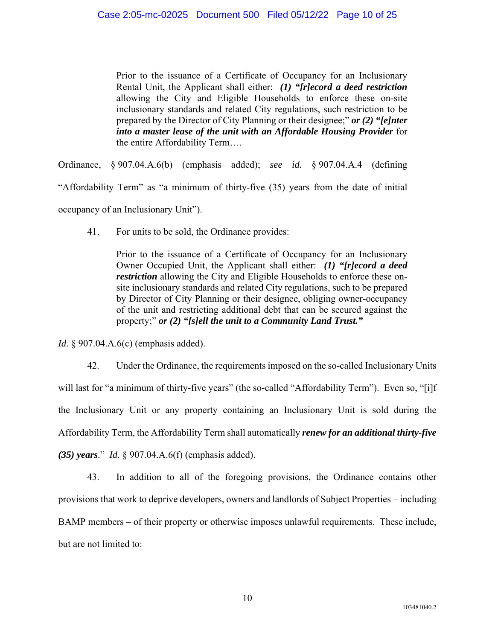Prior to the issuance of a Certificate of Occupancy for an Inclusionary Rental Unit, the Applicant shall either: *(1) "[r]ecord a deed restriction* allowing the City and Eligible Households to enforce these on-site inclusionary standards and related City regulations, such restriction to be prepared by the Director of City Planning or their designee;" *or (2) "[e]nter into a master lease of the unit with an Affordable Housing Provider* for the entire Affordability Term….

Ordinance, § 907.04.A.6(b) (emphasis added); *see id.* § 907.04.A.4 (defining "Affordability Term" as "a minimum of thirty-five (35) years from the date of initial occupancy of an Inclusionary Unit").

41. For units to be sold, the Ordinance provides:

Prior to the issuance of a Certificate of Occupancy for an Inclusionary Owner Occupied Unit, the Applicant shall either: *(1) "[r]ecord a deed restriction* allowing the City and Eligible Households to enforce these onsite inclusionary standards and related City regulations, such to be prepared by Director of City Planning or their designee, obliging owner-occupancy of the unit and restricting additional debt that can be secured against the property;" *or (2) "[s]ell the unit to a Community Land Trust."*

*Id.* § 907.04.A.6(c) (emphasis added).

42. Under the Ordinance, the requirements imposed on the so-called Inclusionary Units will last for "a minimum of thirty-five years" (the so-called "Affordability Term"). Even so, "[i]f the Inclusionary Unit or any property containing an Inclusionary Unit is sold during the Affordability Term, the Affordability Term shall automatically *renew for an additional thirty-five (35) years*." *Id.* § 907.04.A.6(f) (emphasis added).

43. In addition to all of the foregoing provisions, the Ordinance contains other provisions that work to deprive developers, owners and landlords of Subject Properties – including BAMP members – of their property or otherwise imposes unlawful requirements. These include, but are not limited to: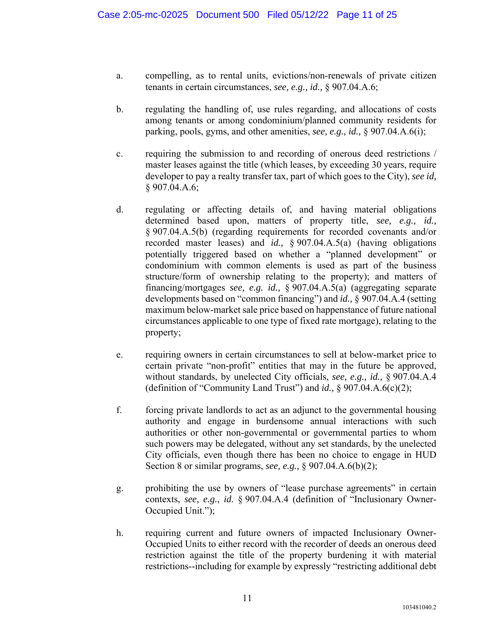- a. compelling, as to rental units, evictions/non-renewals of private citizen tenants in certain circumstances, *see, e.g., id.,* § 907.04.A.6;
- b. regulating the handling of, use rules regarding, and allocations of costs among tenants or among condominium/planned community residents for parking, pools, gyms, and other amenities, *see, e.g., id.,* § 907.04.A.6(i);
- c. requiring the submission to and recording of onerous deed restrictions / master leases against the title (which leases, by exceeding 30 years, require developer to pay a realty transfer tax, part of which goes to the City), *see id,* § 907.04.A.6;
- d. regulating or affecting details of, and having material obligations determined based upon, matters of property title, *see, e.g., id.,* § 907.04.A.5(b) (regarding requirements for recorded covenants and/or recorded master leases) and *id.,* § 907.04.A.5(a) (having obligations potentially triggered based on whether a "planned development" or condominium with common elements is used as part of the business structure/form of ownership relating to the property); and matters of financing/mortgages *see, e.g. id.,* § 907.04.A.5(a) (aggregating separate developments based on "common financing") and *id.,* § 907.04.A.4 (setting maximum below-market sale price based on happenstance of future national circumstances applicable to one type of fixed rate mortgage), relating to the property;
- e. requiring owners in certain circumstances to sell at below-market price to certain private "non-profit" entities that may in the future be approved, without standards, by unelected City officials, *see, e.g., id.,* § 907.04.A.4 (definition of "Community Land Trust") and *id.,* § 907.04.A.6(c)(2);
- f. forcing private landlords to act as an adjunct to the governmental housing authority and engage in burdensome annual interactions with such authorities or other non-governmental or governmental parties to whom such powers may be delegated, without any set standards, by the unelected City officials, even though there has been no choice to engage in HUD Section 8 or similar programs, *see, e.g.,* § 907.04.A.6(b)(2);
- g. prohibiting the use by owners of "lease purchase agreements" in certain contexts, *see, e.g.*, *id.* § 907.04.A.4 (definition of "Inclusionary Owner-Occupied Unit.");
- h. requiring current and future owners of impacted Inclusionary Owner-Occupied Units to either record with the recorder of deeds an onerous deed restriction against the title of the property burdening it with material restrictions--including for example by expressly "restricting additional debt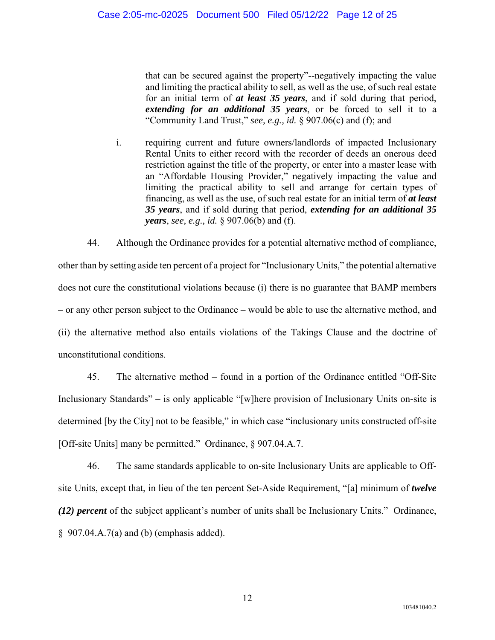that can be secured against the property"--negatively impacting the value and limiting the practical ability to sell, as well as the use, of such real estate for an initial term of *at least 35 years*, and if sold during that period, *extending for an additional 35 years*, or be forced to sell it to a "Community Land Trust," *see, e.g., id.* § 907.06(c) and (f); and

i. requiring current and future owners/landlords of impacted Inclusionary Rental Units to either record with the recorder of deeds an onerous deed restriction against the title of the property, or enter into a master lease with an "Affordable Housing Provider," negatively impacting the value and limiting the practical ability to sell and arrange for certain types of financing, as well as the use, of such real estate for an initial term of *at least 35 years*, and if sold during that period, *extending for an additional 35 years*, *see, e.g., id.* § 907.06(b) and (f).

44. Although the Ordinance provides for a potential alternative method of compliance, other than by setting aside ten percent of a project for "Inclusionary Units," the potential alternative does not cure the constitutional violations because (i) there is no guarantee that BAMP members – or any other person subject to the Ordinance – would be able to use the alternative method, and (ii) the alternative method also entails violations of the Takings Clause and the doctrine of unconstitutional conditions.

45. The alternative method – found in a portion of the Ordinance entitled "Off-Site Inclusionary Standards" – is only applicable "[w]here provision of Inclusionary Units on-site is determined [by the City] not to be feasible," in which case "inclusionary units constructed off-site [Off-site Units] many be permitted." Ordinance, § 907.04.A.7.

46. The same standards applicable to on-site Inclusionary Units are applicable to Offsite Units, except that, in lieu of the ten percent Set-Aside Requirement, "[a] minimum of *twelve (12) percent* of the subject applicant's number of units shall be Inclusionary Units." Ordinance, § 907.04.A.7(a) and (b) (emphasis added).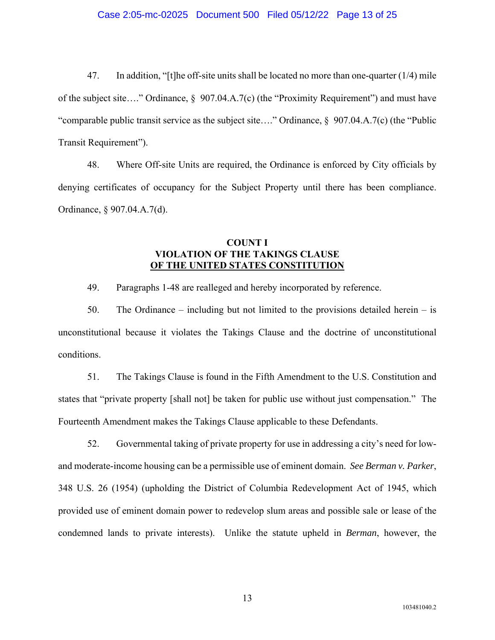## Case 2:05-mc-02025 Document 500 Filed 05/12/22 Page 13 of 25

47. In addition, "[t]he off-site units shall be located no more than one-quarter (1/4) mile of the subject site…." Ordinance,  $\S$  907.04.A.7(c) (the "Proximity Requirement") and must have "comparable public transit service as the subject site…." Ordinance, § 907.04.A.7(c) (the "Public Transit Requirement").

48. Where Off-site Units are required, the Ordinance is enforced by City officials by denying certificates of occupancy for the Subject Property until there has been compliance. Ordinance, § 907.04.A.7(d).

## **COUNT I VIOLATION OF THE TAKINGS CLAUSE OF THE UNITED STATES CONSTITUTION**

49. Paragraphs 1-48 are realleged and hereby incorporated by reference.

50. The Ordinance – including but not limited to the provisions detailed herein – is unconstitutional because it violates the Takings Clause and the doctrine of unconstitutional conditions.

51. The Takings Clause is found in the Fifth Amendment to the U.S. Constitution and states that "private property [shall not] be taken for public use without just compensation." The Fourteenth Amendment makes the Takings Clause applicable to these Defendants.

52. Governmental taking of private property for use in addressing a city's need for lowand moderate-income housing can be a permissible use of eminent domain. *See Berman v. Parker*, 348 U.S. 26 (1954) (upholding the District of Columbia Redevelopment Act of 1945, which provided use of eminent domain power to redevelop slum areas and possible sale or lease of the condemned lands to private interests). Unlike the statute upheld in *Berman*, however, the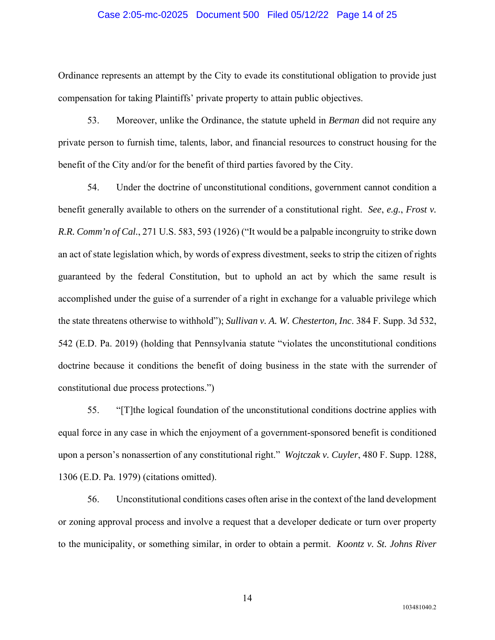## Case 2:05-mc-02025 Document 500 Filed 05/12/22 Page 14 of 25

Ordinance represents an attempt by the City to evade its constitutional obligation to provide just compensation for taking Plaintiffs' private property to attain public objectives.

53. Moreover, unlike the Ordinance, the statute upheld in *Berman* did not require any private person to furnish time, talents, labor, and financial resources to construct housing for the benefit of the City and/or for the benefit of third parties favored by the City.

54. Under the doctrine of unconstitutional conditions, government cannot condition a benefit generally available to others on the surrender of a constitutional right. *See*, *e.g.*, *Frost v. R.R. Comm'n of Cal.*, 271 U.S. 583, 593 (1926) ("It would be a palpable incongruity to strike down an act of state legislation which, by words of express divestment, seeks to strip the citizen of rights guaranteed by the federal Constitution, but to uphold an act by which the same result is accomplished under the guise of a surrender of a right in exchange for a valuable privilege which the state threatens otherwise to withhold"); *Sullivan v. A. W. Chesterton, Inc*. 384 F. Supp. 3d 532, 542 (E.D. Pa. 2019) (holding that Pennsylvania statute "violates the unconstitutional conditions doctrine because it conditions the benefit of doing business in the state with the surrender of constitutional due process protections.")

55. "[T]the logical foundation of the unconstitutional conditions doctrine applies with equal force in any case in which the enjoyment of a government-sponsored benefit is conditioned upon a person's nonassertion of any constitutional right." *Wojtczak v. Cuyler*, 480 F. Supp. 1288, 1306 (E.D. Pa. 1979) (citations omitted).

56. Unconstitutional conditions cases often arise in the context of the land development or zoning approval process and involve a request that a developer dedicate or turn over property to the municipality, or something similar, in order to obtain a permit. *Koontz v. St. Johns River* 

14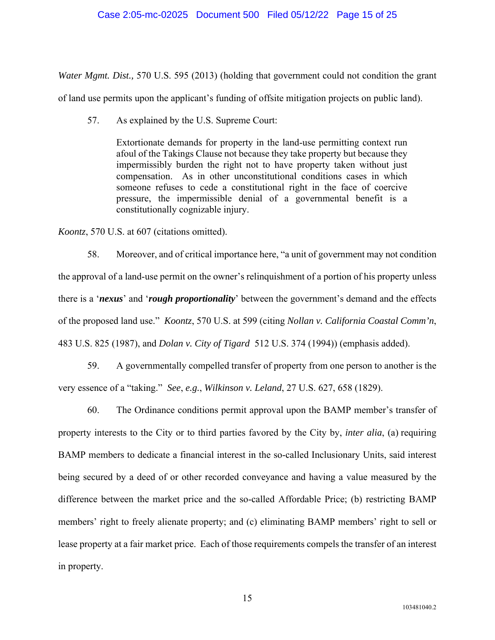## Case 2:05-mc-02025 Document 500 Filed 05/12/22 Page 15 of 25

*Water Mgmt. Dist.,* 570 U.S. 595 (2013) (holding that government could not condition the grant of land use permits upon the applicant's funding of offsite mitigation projects on public land).

57. As explained by the U.S. Supreme Court:

Extortionate demands for property in the land-use permitting context run afoul of the Takings Clause not because they take property but because they impermissibly burden the right not to have property taken without just compensation. As in other unconstitutional conditions cases in which someone refuses to cede a constitutional right in the face of coercive pressure, the impermissible denial of a governmental benefit is a constitutionally cognizable injury.

*Koontz*, 570 U.S. at 607 (citations omitted).

58. Moreover, and of critical importance here, "a unit of government may not condition the approval of a land-use permit on the owner's relinquishment of a portion of his property unless there is a '*nexus*' and '*rough proportionality*' between the government's demand and the effects of the proposed land use." *Koontz*, 570 U.S. at 599 (citing *Nollan v. California Coastal Comm'n*, 483 U.S. 825 (1987), and *Dolan v. City of Tigard* 512 U.S. 374 (1994)) (emphasis added).

59. A governmentally compelled transfer of property from one person to another is the very essence of a "taking." *See*, *e.g.*, *Wilkinson v. Leland*, 27 U.S. 627, 658 (1829).

60. The Ordinance conditions permit approval upon the BAMP member's transfer of property interests to the City or to third parties favored by the City by, *inter alia*, (a) requiring BAMP members to dedicate a financial interest in the so-called Inclusionary Units, said interest being secured by a deed of or other recorded conveyance and having a value measured by the difference between the market price and the so-called Affordable Price; (b) restricting BAMP members' right to freely alienate property; and (c) eliminating BAMP members' right to sell or lease property at a fair market price. Each of those requirements compels the transfer of an interest in property.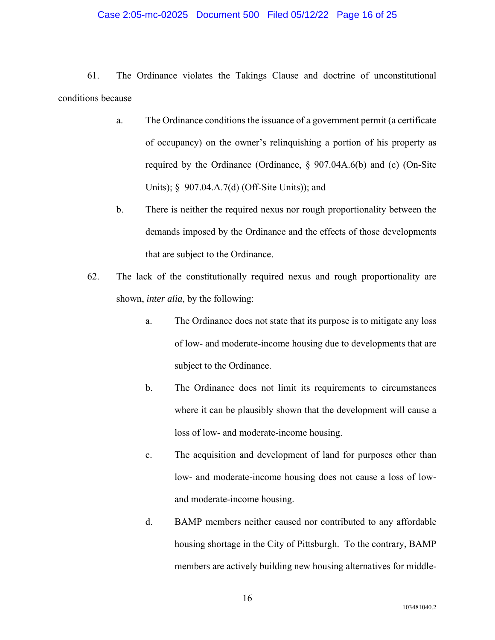## Case 2:05-mc-02025 Document 500 Filed 05/12/22 Page 16 of 25

61. The Ordinance violates the Takings Clause and doctrine of unconstitutional conditions because

- a. The Ordinance conditions the issuance of a government permit (a certificate of occupancy) on the owner's relinquishing a portion of his property as required by the Ordinance (Ordinance, § 907.04A.6(b) and (c) (On-Site Units); § 907.04.A.7(d) (Off-Site Units)); and
- b. There is neither the required nexus nor rough proportionality between the demands imposed by the Ordinance and the effects of those developments that are subject to the Ordinance.
- 62. The lack of the constitutionally required nexus and rough proportionality are shown, *inter alia*, by the following:
	- a. The Ordinance does not state that its purpose is to mitigate any loss of low- and moderate-income housing due to developments that are subject to the Ordinance.
	- b. The Ordinance does not limit its requirements to circumstances where it can be plausibly shown that the development will cause a loss of low- and moderate-income housing.
	- c. The acquisition and development of land for purposes other than low- and moderate-income housing does not cause a loss of lowand moderate-income housing.
	- d. BAMP members neither caused nor contributed to any affordable housing shortage in the City of Pittsburgh. To the contrary, BAMP members are actively building new housing alternatives for middle-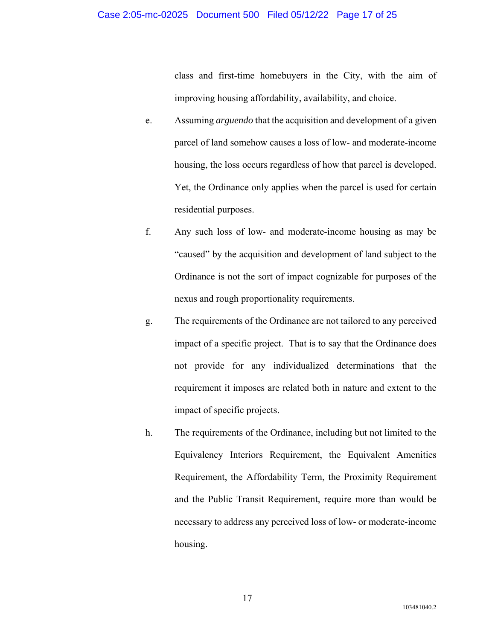## Case 2:05-mc-02025 Document 500 Filed 05/12/22 Page 17 of 25

class and first-time homebuyers in the City, with the aim of improving housing affordability, availability, and choice.

- e. Assuming *arguendo* that the acquisition and development of a given parcel of land somehow causes a loss of low- and moderate-income housing, the loss occurs regardless of how that parcel is developed. Yet, the Ordinance only applies when the parcel is used for certain residential purposes.
- f. Any such loss of low- and moderate-income housing as may be "caused" by the acquisition and development of land subject to the Ordinance is not the sort of impact cognizable for purposes of the nexus and rough proportionality requirements.
- g. The requirements of the Ordinance are not tailored to any perceived impact of a specific project. That is to say that the Ordinance does not provide for any individualized determinations that the requirement it imposes are related both in nature and extent to the impact of specific projects.
- h. The requirements of the Ordinance, including but not limited to the Equivalency Interiors Requirement, the Equivalent Amenities Requirement, the Affordability Term, the Proximity Requirement and the Public Transit Requirement, require more than would be necessary to address any perceived loss of low- or moderate-income housing.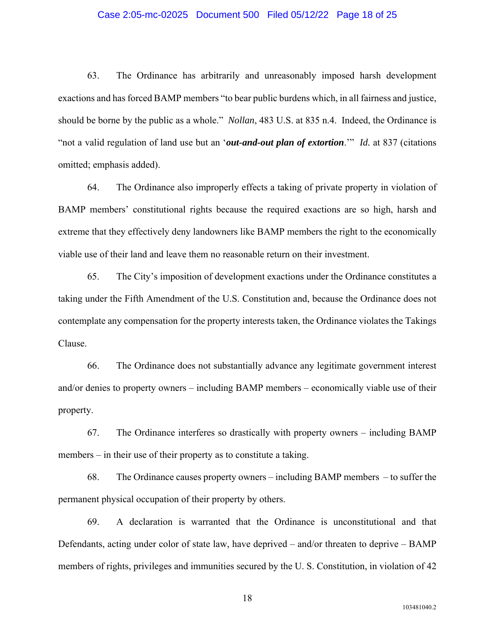## Case 2:05-mc-02025 Document 500 Filed 05/12/22 Page 18 of 25

63. The Ordinance has arbitrarily and unreasonably imposed harsh development exactions and has forced BAMP members "to bear public burdens which, in all fairness and justice, should be borne by the public as a whole." *Nollan*, 483 U.S. at 835 n.4. Indeed, the Ordinance is "not a valid regulation of land use but an '*out-and-out plan of extortion*.'" *Id.* at 837 (citations omitted; emphasis added).

64. The Ordinance also improperly effects a taking of private property in violation of BAMP members' constitutional rights because the required exactions are so high, harsh and extreme that they effectively deny landowners like BAMP members the right to the economically viable use of their land and leave them no reasonable return on their investment.

65. The City's imposition of development exactions under the Ordinance constitutes a taking under the Fifth Amendment of the U.S. Constitution and, because the Ordinance does not contemplate any compensation for the property interests taken, the Ordinance violates the Takings Clause.

66. The Ordinance does not substantially advance any legitimate government interest and/or denies to property owners – including BAMP members – economically viable use of their property.

67. The Ordinance interferes so drastically with property owners – including BAMP members – in their use of their property as to constitute a taking.

68. The Ordinance causes property owners – including BAMP members – to suffer the permanent physical occupation of their property by others.

69. A declaration is warranted that the Ordinance is unconstitutional and that Defendants, acting under color of state law, have deprived – and/or threaten to deprive – BAMP members of rights, privileges and immunities secured by the U. S. Constitution, in violation of 42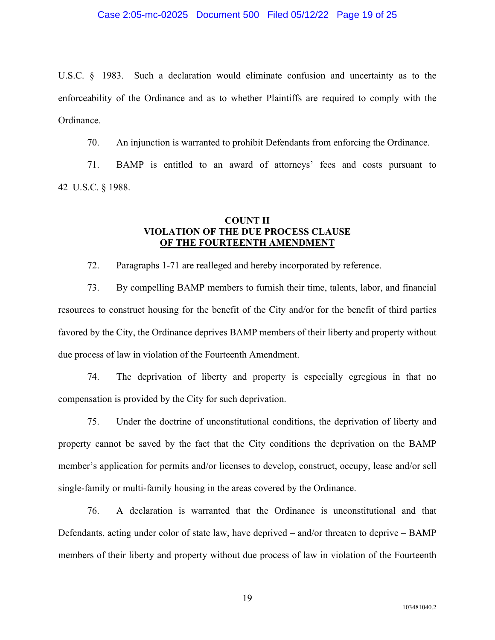U.S.C. § 1983. Such a declaration would eliminate confusion and uncertainty as to the enforceability of the Ordinance and as to whether Plaintiffs are required to comply with the Ordinance.

70. An injunction is warranted to prohibit Defendants from enforcing the Ordinance.

71. BAMP is entitled to an award of attorneys' fees and costs pursuant to 42 U.S.C. § 1988.

# **COUNT II VIOLATION OF THE DUE PROCESS CLAUSE OF THE FOURTEENTH AMENDMENT**

72. Paragraphs 1-71 are realleged and hereby incorporated by reference.

73. By compelling BAMP members to furnish their time, talents, labor, and financial resources to construct housing for the benefit of the City and/or for the benefit of third parties favored by the City, the Ordinance deprives BAMP members of their liberty and property without due process of law in violation of the Fourteenth Amendment.

74. The deprivation of liberty and property is especially egregious in that no compensation is provided by the City for such deprivation.

75. Under the doctrine of unconstitutional conditions, the deprivation of liberty and property cannot be saved by the fact that the City conditions the deprivation on the BAMP member's application for permits and/or licenses to develop, construct, occupy, lease and/or sell single-family or multi-family housing in the areas covered by the Ordinance.

76. A declaration is warranted that the Ordinance is unconstitutional and that Defendants, acting under color of state law, have deprived – and/or threaten to deprive – BAMP members of their liberty and property without due process of law in violation of the Fourteenth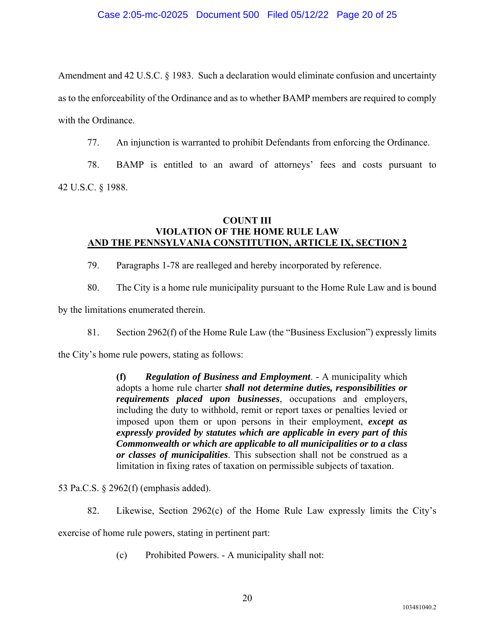Amendment and 42 U.S.C. § 1983. Such a declaration would eliminate confusion and uncertainty as to the enforceability of the Ordinance and as to whether BAMP members are required to comply with the Ordinance.

77. An injunction is warranted to prohibit Defendants from enforcing the Ordinance.

78. BAMP is entitled to an award of attorneys' fees and costs pursuant to 42 U.S.C. § 1988.

# **COUNT III VIOLATION OF THE HOME RULE LAW AND THE PENNSYLVANIA CONSTITUTION, ARTICLE IX, SECTION 2**

- 79. Paragraphs 1-78 are realleged and hereby incorporated by reference.
- 80. The City is a home rule municipality pursuant to the Home Rule Law and is bound

by the limitations enumerated therein.

81. Section 2962(f) of the Home Rule Law (the "Business Exclusion") expressly limits

the City's home rule powers, stating as follows:

**(f)** *Regulation of Business and Employment*. - A municipality which adopts a home rule charter *shall not determine duties, responsibilities or requirements placed upon businesses*, occupations and employers, including the duty to withhold, remit or report taxes or penalties levied or imposed upon them or upon persons in their employment, *except as expressly provided by statutes which are applicable in every part of this Commonwealth or which are applicable to all municipalities or to a class or classes of municipalities*. This subsection shall not be construed as a limitation in fixing rates of taxation on permissible subjects of taxation.

53 Pa.C.S. § 2962(f) (emphasis added).

82. Likewise, Section 2962(c) of the Home Rule Law expressly limits the City's

exercise of home rule powers, stating in pertinent part:

(c) Prohibited Powers. - A municipality shall not: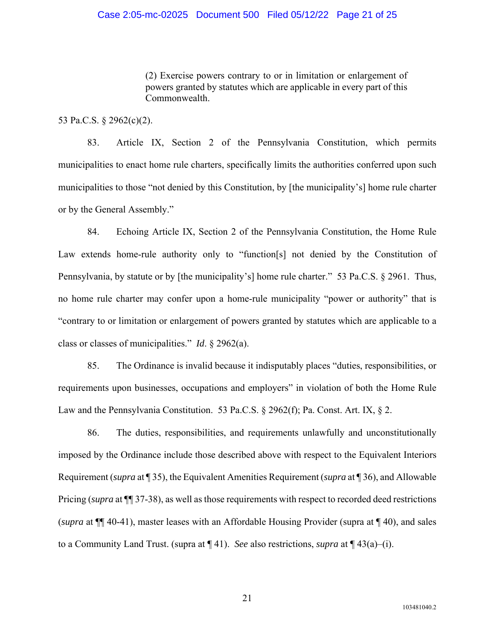(2) Exercise powers contrary to or in limitation or enlargement of powers granted by statutes which are applicable in every part of this Commonwealth.

53 Pa.C.S. § 2962(c)(2).

83. Article IX, Section 2 of the Pennsylvania Constitution, which permits municipalities to enact home rule charters, specifically limits the authorities conferred upon such municipalities to those "not denied by this Constitution, by [the municipality's] home rule charter or by the General Assembly."

84. Echoing Article IX, Section 2 of the Pennsylvania Constitution, the Home Rule Law extends home-rule authority only to "function[s] not denied by the Constitution of Pennsylvania, by statute or by [the municipality's] home rule charter." 53 Pa.C.S. § 2961. Thus, no home rule charter may confer upon a home-rule municipality "power or authority" that is "contrary to or limitation or enlargement of powers granted by statutes which are applicable to a class or classes of municipalities." *Id*. § 2962(a).

85. The Ordinance is invalid because it indisputably places "duties, responsibilities, or requirements upon businesses, occupations and employers" in violation of both the Home Rule Law and the Pennsylvania Constitution. 53 Pa.C.S. § 2962(f); Pa. Const. Art. IX, § 2.

86. The duties, responsibilities, and requirements unlawfully and unconstitutionally imposed by the Ordinance include those described above with respect to the Equivalent Interiors Requirement (*supra* at ¶ 35), the Equivalent Amenities Requirement (*supra* at ¶ 36), and Allowable Pricing (*supra* at ¶¶ 37-38), as well as those requirements with respect to recorded deed restrictions (*supra* at ¶¶ 40-41), master leases with an Affordable Housing Provider (supra at ¶ 40), and sales to a Community Land Trust. (supra at ¶ 41). *See* also restrictions, *supra* at ¶ 43(a)–(i).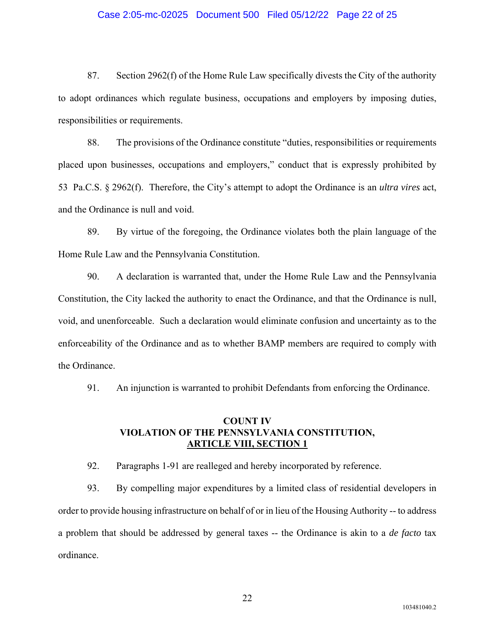## Case 2:05-mc-02025 Document 500 Filed 05/12/22 Page 22 of 25

87. Section 2962(f) of the Home Rule Law specifically divests the City of the authority to adopt ordinances which regulate business, occupations and employers by imposing duties, responsibilities or requirements.

88. The provisions of the Ordinance constitute "duties, responsibilities or requirements placed upon businesses, occupations and employers," conduct that is expressly prohibited by 53 Pa.C.S. § 2962(f). Therefore, the City's attempt to adopt the Ordinance is an *ultra vires* act, and the Ordinance is null and void.

89. By virtue of the foregoing, the Ordinance violates both the plain language of the Home Rule Law and the Pennsylvania Constitution.

90. A declaration is warranted that, under the Home Rule Law and the Pennsylvania Constitution, the City lacked the authority to enact the Ordinance, and that the Ordinance is null, void, and unenforceable. Such a declaration would eliminate confusion and uncertainty as to the enforceability of the Ordinance and as to whether BAMP members are required to comply with the Ordinance.

91. An injunction is warranted to prohibit Defendants from enforcing the Ordinance.

# **COUNT IV VIOLATION OF THE PENNSYLVANIA CONSTITUTION, ARTICLE VIII, SECTION 1**

92. Paragraphs 1-91 are realleged and hereby incorporated by reference.

93. By compelling major expenditures by a limited class of residential developers in order to provide housing infrastructure on behalf of or in lieu of the Housing Authority -- to address a problem that should be addressed by general taxes -- the Ordinance is akin to a *de facto* tax ordinance.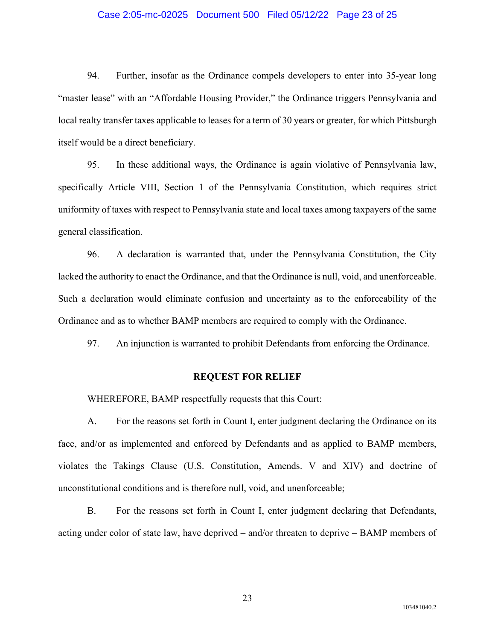## Case 2:05-mc-02025 Document 500 Filed 05/12/22 Page 23 of 25

94. Further, insofar as the Ordinance compels developers to enter into 35-year long "master lease" with an "Affordable Housing Provider," the Ordinance triggers Pennsylvania and local realty transfer taxes applicable to leases for a term of 30 years or greater, for which Pittsburgh itself would be a direct beneficiary.

95. In these additional ways, the Ordinance is again violative of Pennsylvania law, specifically Article VIII, Section 1 of the Pennsylvania Constitution, which requires strict uniformity of taxes with respect to Pennsylvania state and local taxes among taxpayers of the same general classification.

96. A declaration is warranted that, under the Pennsylvania Constitution, the City lacked the authority to enact the Ordinance, and that the Ordinance is null, void, and unenforceable. Such a declaration would eliminate confusion and uncertainty as to the enforceability of the Ordinance and as to whether BAMP members are required to comply with the Ordinance.

97. An injunction is warranted to prohibit Defendants from enforcing the Ordinance.

#### **REQUEST FOR RELIEF**

WHEREFORE, BAMP respectfully requests that this Court:

A. For the reasons set forth in Count I, enter judgment declaring the Ordinance on its face, and/or as implemented and enforced by Defendants and as applied to BAMP members, violates the Takings Clause (U.S. Constitution, Amends. V and XIV) and doctrine of unconstitutional conditions and is therefore null, void, and unenforceable;

B. For the reasons set forth in Count I, enter judgment declaring that Defendants, acting under color of state law, have deprived – and/or threaten to deprive – BAMP members of

23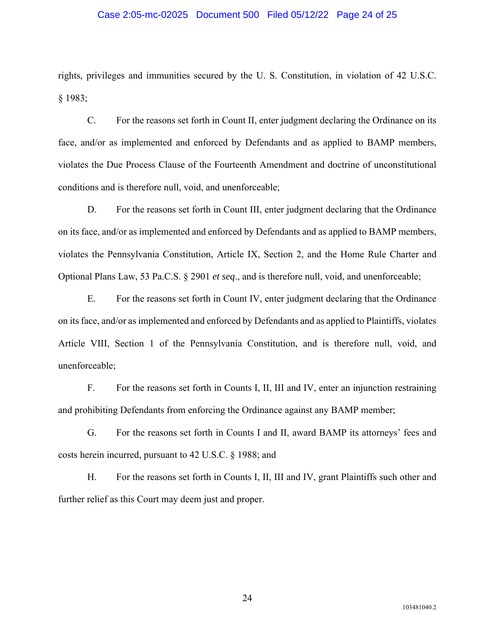## Case 2:05-mc-02025 Document 500 Filed 05/12/22 Page 24 of 25

rights, privileges and immunities secured by the U. S. Constitution, in violation of 42 U.S.C. § 1983;

C. For the reasons set forth in Count II, enter judgment declaring the Ordinance on its face, and/or as implemented and enforced by Defendants and as applied to BAMP members, violates the Due Process Clause of the Fourteenth Amendment and doctrine of unconstitutional conditions and is therefore null, void, and unenforceable;

D. For the reasons set forth in Count III, enter judgment declaring that the Ordinance on its face, and/or as implemented and enforced by Defendants and as applied to BAMP members, violates the Pennsylvania Constitution, Article IX, Section 2, and the Home Rule Charter and Optional Plans Law, 53 Pa.C.S. § 2901 *et seq*., and is therefore null, void, and unenforceable;

E. For the reasons set forth in Count IV, enter judgment declaring that the Ordinance on its face, and/or as implemented and enforced by Defendants and as applied to Plaintiffs, violates Article VIII, Section 1 of the Pennsylvania Constitution, and is therefore null, void, and unenforceable;

F. For the reasons set forth in Counts I, II, III and IV, enter an injunction restraining and prohibiting Defendants from enforcing the Ordinance against any BAMP member;

G. For the reasons set forth in Counts I and II, award BAMP its attorneys' fees and costs herein incurred, pursuant to 42 U.S.C. § 1988; and

H. For the reasons set forth in Counts I, II, III and IV, grant Plaintiffs such other and further relief as this Court may deem just and proper.